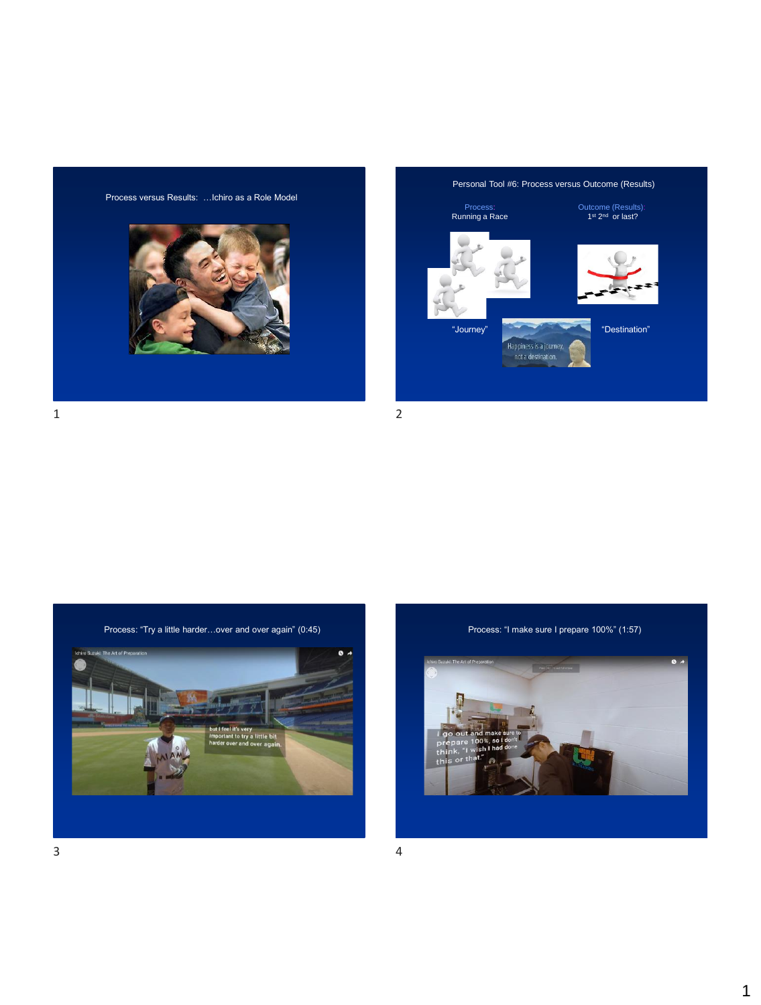



 $1$  2



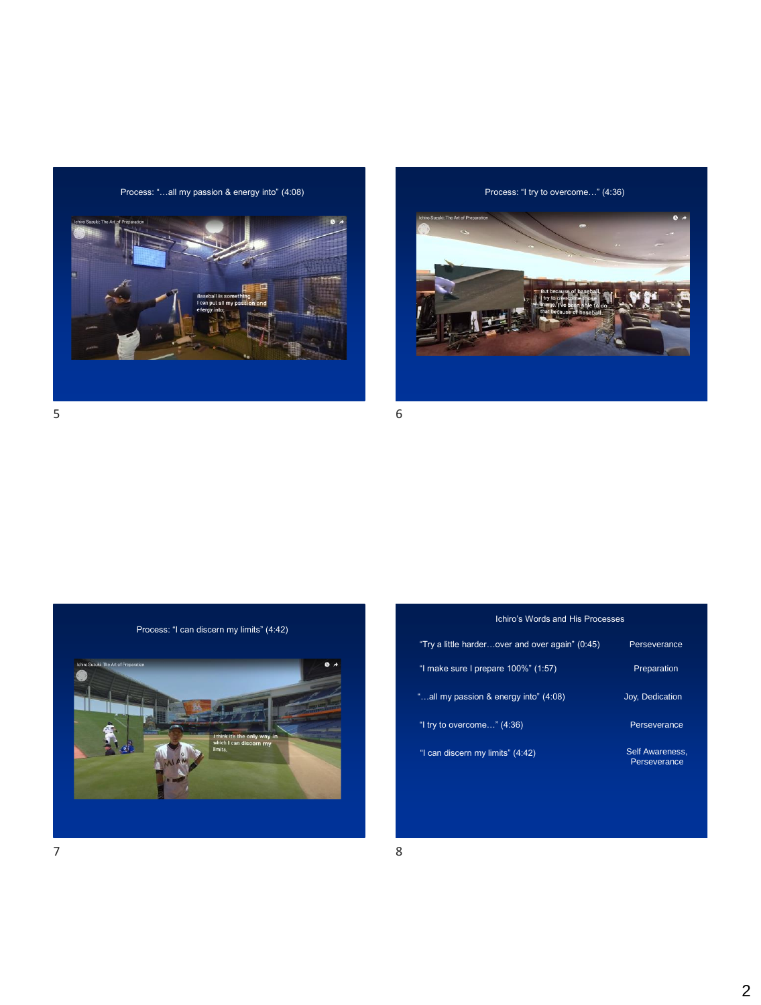Process: "...all my passion & energy into" (4:08) Process: "I try to overcome..." (4:36)



 $5<sub>6</sub>$ 



Process: "I can discern my limits" (4:42)



| "Try a little harderover and over again" (0:45) | Perseverance                    |
|-------------------------------------------------|---------------------------------|
| "I make sure I prepare 100%" (1:57)             | Preparation                     |
| "all my passion & energy into" (4:08)           | Joy, Dedication                 |
| "I try to overcome" $(4:36)$                    | Perseverance                    |
| "I can discern my limits" (4:42)                | Self Awareness.<br>Perseverance |

Ichiro's Words and His Processes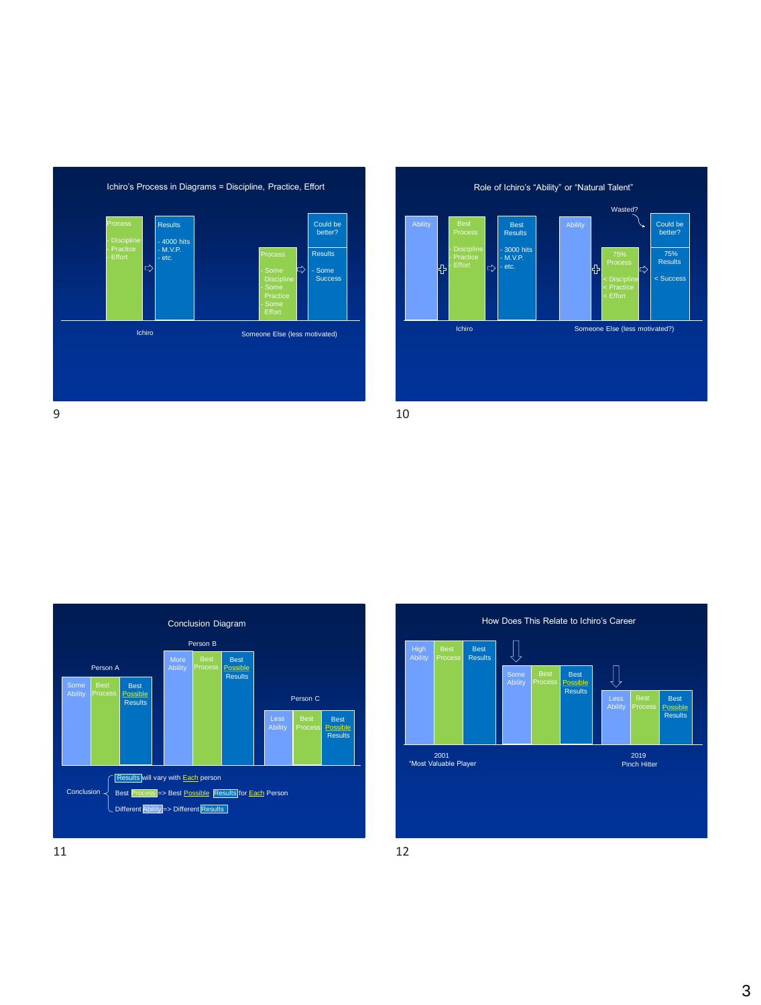







 $11$  12